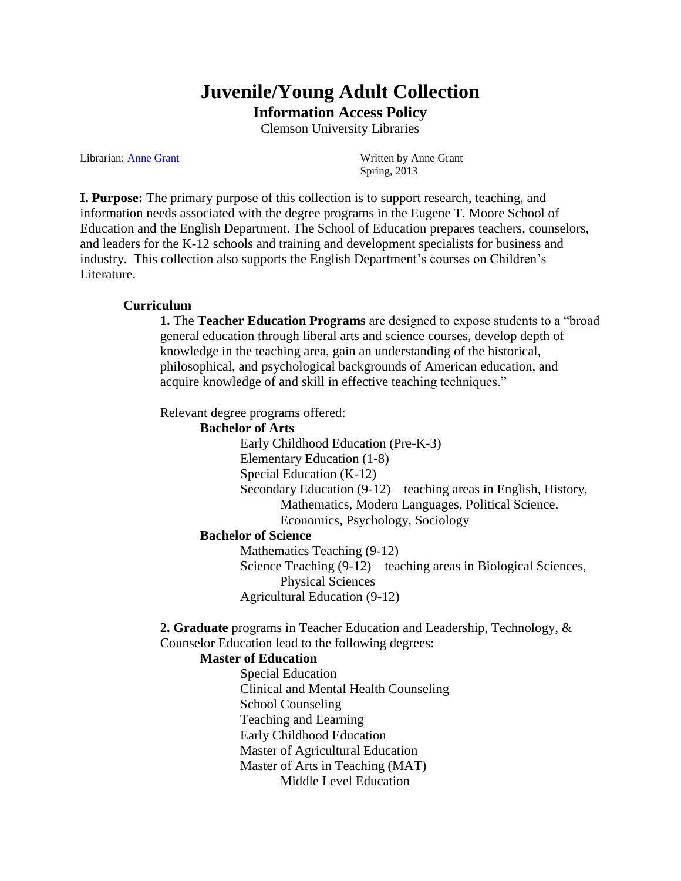# **Juvenile/Young Adult Collection Information Access Policy**

Clemson University Libraries

Librarian: Anne Grant Written by Anne Grant

Spring, 2013

**I. Purpose:** The primary purpose of this collection is to support research, teaching, and information needs associated with the degree programs in the Eugene T. Moore School of Education and the English Department. The School of Education prepares teachers, counselors, and leaders for the K-12 schools and training and development specialists for business and industry. This collection also supports the English Department's courses on Children's Literature.

#### **Curriculum**

**1.** The **Teacher Education Programs** are designed to expose students to a "broad general education through liberal arts and science courses, develop depth of knowledge in the teaching area, gain an understanding of the historical, philosophical, and psychological backgrounds of American education, and acquire knowledge of and skill in effective teaching techniques."

Relevant degree programs offered:

**Bachelor of Arts** Early Childhood Education (Pre-K-3) Elementary Education (1-8) Special Education (K-12) Secondary Education (9-12) – teaching areas in English, History, Mathematics, Modern Languages, Political Science, Economics, Psychology, Sociology

#### **Bachelor of Science**

Mathematics Teaching (9-12) Science Teaching (9-12) – teaching areas in Biological Sciences, Physical Sciences Agricultural Education (9-12)

**2. Graduate** programs in Teacher Education and Leadership, Technology, & Counselor Education lead to the following degrees:

#### **Master of Education**

Special Education Clinical and Mental Health Counseling School Counseling Teaching and Learning Early Childhood Education Master of Agricultural Education Master of Arts in Teaching (MAT) Middle Level Education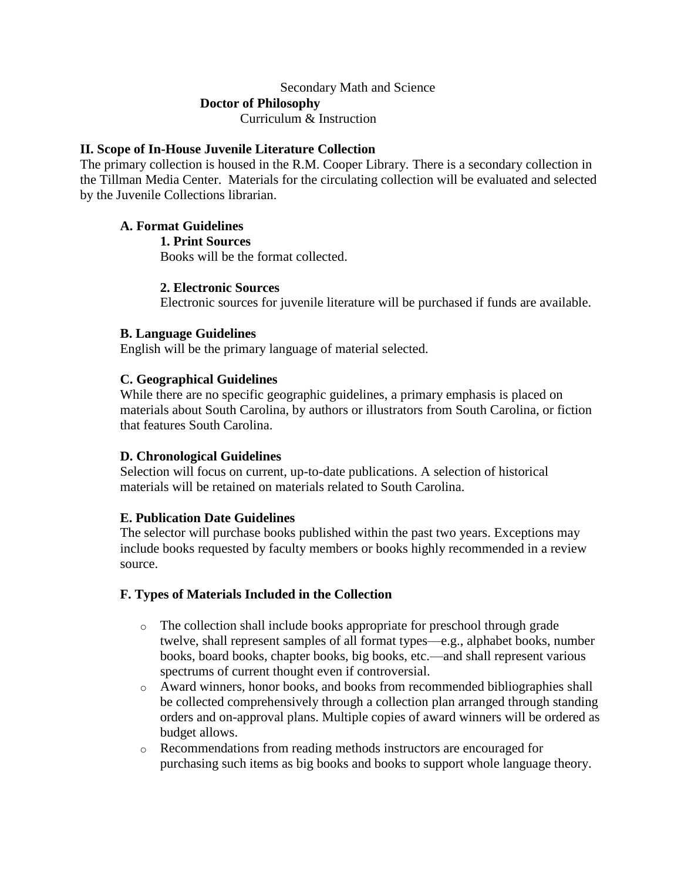# Secondary Math and Science **Doctor of Philosophy** Curriculum & Instruction

## **II. Scope of In-House Juvenile Literature Collection**

The primary collection is housed in the R.M. Cooper Library. There is a secondary collection in the Tillman Media Center. Materials for the circulating collection will be evaluated and selected by the Juvenile Collections librarian.

## **A. Format Guidelines**

**1. Print Sources**

Books will be the format collected.

## **2. Electronic Sources**

Electronic sources for juvenile literature will be purchased if funds are available.

## **B. Language Guidelines**

English will be the primary language of material selected.

## **C. Geographical Guidelines**

While there are no specific geographic guidelines, a primary emphasis is placed on materials about South Carolina, by authors or illustrators from South Carolina, or fiction that features South Carolina.

# **D. Chronological Guidelines**

Selection will focus on current, up-to-date publications. A selection of historical materials will be retained on materials related to South Carolina.

# **E. Publication Date Guidelines**

The selector will purchase books published within the past two years. Exceptions may include books requested by faculty members or books highly recommended in a review source.

#### **F. Types of Materials Included in the Collection**

- o The collection shall include books appropriate for preschool through grade twelve, shall represent samples of all format types—e.g., alphabet books, number books, board books, chapter books, big books, etc.—and shall represent various spectrums of current thought even if controversial.
- o Award winners, honor books, and books from recommended bibliographies shall be collected comprehensively through a collection plan arranged through standing orders and on-approval plans. Multiple copies of award winners will be ordered as budget allows.
- o Recommendations from reading methods instructors are encouraged for purchasing such items as big books and books to support whole language theory.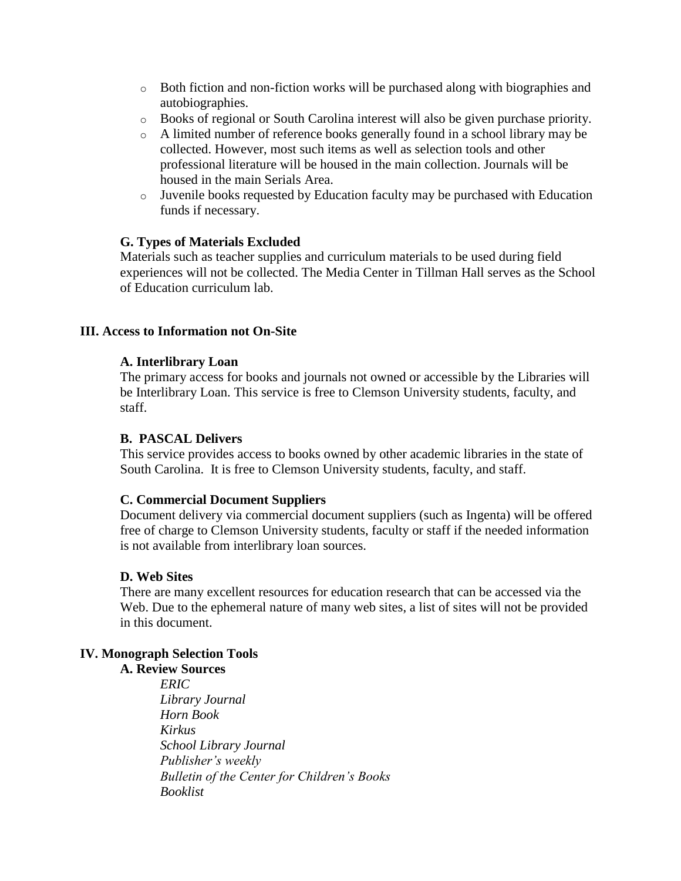- $\circ$  Both fiction and non-fiction works will be purchased along with biographies and autobiographies.
- o Books of regional or South Carolina interest will also be given purchase priority.
- o A limited number of reference books generally found in a school library may be collected. However, most such items as well as selection tools and other professional literature will be housed in the main collection. Journals will be housed in the main Serials Area.
- o Juvenile books requested by Education faculty may be purchased with Education funds if necessary.

## **G. Types of Materials Excluded**

Materials such as teacher supplies and curriculum materials to be used during field experiences will not be collected. The Media Center in Tillman Hall serves as the School of Education curriculum lab.

## **III. Access to Information not On-Site**

#### **A. Interlibrary Loan**

The primary access for books and journals not owned or accessible by the Libraries will be Interlibrary Loan. This service is free to Clemson University students, faculty, and staff.

## **B. PASCAL Delivers**

This service provides access to books owned by other academic libraries in the state of South Carolina. It is free to Clemson University students, faculty, and staff.

#### **C. Commercial Document Suppliers**

Document delivery via commercial document suppliers (such as Ingenta) will be offered free of charge to Clemson University students, faculty or staff if the needed information is not available from interlibrary loan sources.

#### **D. Web Sites**

There are many excellent resources for education research that can be accessed via the Web. Due to the ephemeral nature of many web sites, a list of sites will not be provided in this document.

# **IV. Monograph Selection Tools**

**A. Review Sources** *ERIC Library Journal Horn Book Kirkus School Library Journal Publisher's weekly Bulletin of the Center for Children's Books Booklist*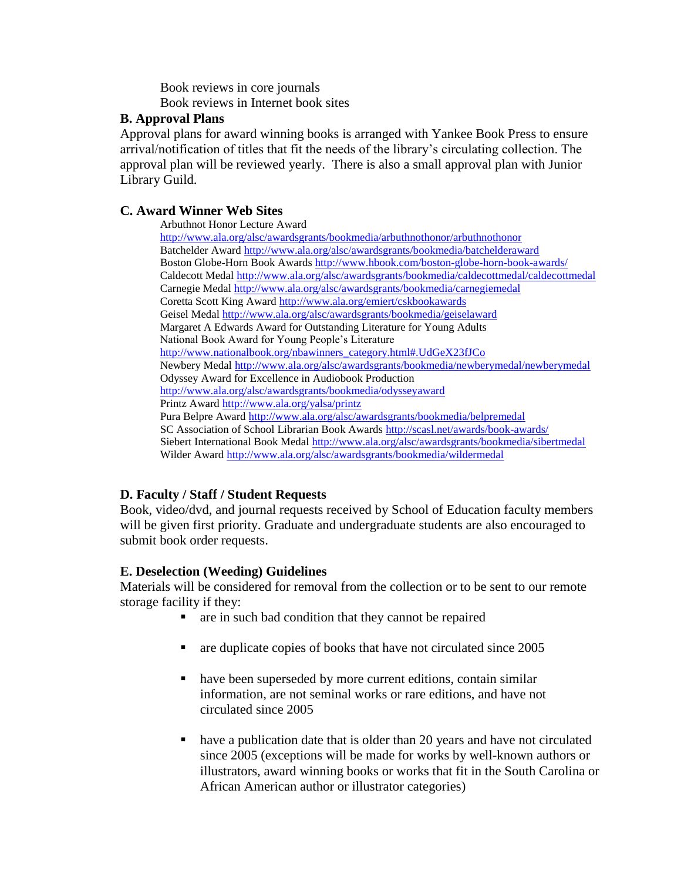Book reviews in core journals Book reviews in Internet book sites

## **B. Approval Plans**

Approval plans for award winning books is arranged with Yankee Book Press to ensure arrival/notification of titles that fit the needs of the library's circulating collection. The approval plan will be reviewed yearly. There is also a small approval plan with Junior Library Guild.

## **C. Award Winner Web Sites**

Arbuthnot Honor Lecture Award

<http://www.ala.org/alsc/awardsgrants/bookmedia/arbuthnothonor/arbuthnothonor> Batchelder Award<http://www.ala.org/alsc/awardsgrants/bookmedia/batchelderaward> Boston Globe-Horn Book Awards<http://www.hbook.com/boston-globe-horn-book-awards/> Caldecott Medal<http://www.ala.org/alsc/awardsgrants/bookmedia/caldecottmedal/caldecottmedal> Carnegie Meda[l http://www.ala.org/alsc/awardsgrants/bookmedia/carnegiemedal](http://www.ala.org/alsc/awardsgrants/bookmedia/carnegiemedal) Coretta Scott King Award<http://www.ala.org/emiert/cskbookawards> Geisel Medal<http://www.ala.org/alsc/awardsgrants/bookmedia/geiselaward> Margaret A Edwards Award for Outstanding Literature for Young Adults National Book Award for Young People's Literature [http://www.nationalbook.org/nbawinners\\_category.html#.UdGeX23fJCo](http://www.nationalbook.org/nbawinners_category.html#.UdGeX23fJCo) Newbery Medal<http://www.ala.org/alsc/awardsgrants/bookmedia/newberymedal/newberymedal> Odyssey Award for Excellence in Audiobook Production <http://www.ala.org/alsc/awardsgrants/bookmedia/odysseyaward> Printz Award<http://www.ala.org/yalsa/printz> Pura Belpre Awar[d http://www.ala.org/alsc/awardsgrants/bookmedia/belpremedal](http://www.ala.org/alsc/awardsgrants/bookmedia/belpremedal) SC Association of School Librarian Book Awards<http://scasl.net/awards/book-awards/> Siebert International Book Meda[l http://www.ala.org/alsc/awardsgrants/bookmedia/sibertmedal](http://www.ala.org/alsc/awardsgrants/bookmedia/sibertmedal) Wilder Award<http://www.ala.org/alsc/awardsgrants/bookmedia/wildermedal>

# **D. Faculty / Staff / Student Requests**

Book, video/dvd, and journal requests received by School of Education faculty members will be given first priority. Graduate and undergraduate students are also encouraged to submit book order requests.

# **E. Deselection (Weeding) Guidelines**

Materials will be considered for removal from the collection or to be sent to our remote storage facility if they:

- are in such bad condition that they cannot be repaired
- are duplicate copies of books that have not circulated since 2005
- have been superseded by more current editions, contain similar information, are not seminal works or rare editions, and have not circulated since 2005
- have a publication date that is older than 20 years and have not circulated since 2005 (exceptions will be made for works by well-known authors or illustrators, award winning books or works that fit in the South Carolina or African American author or illustrator categories)